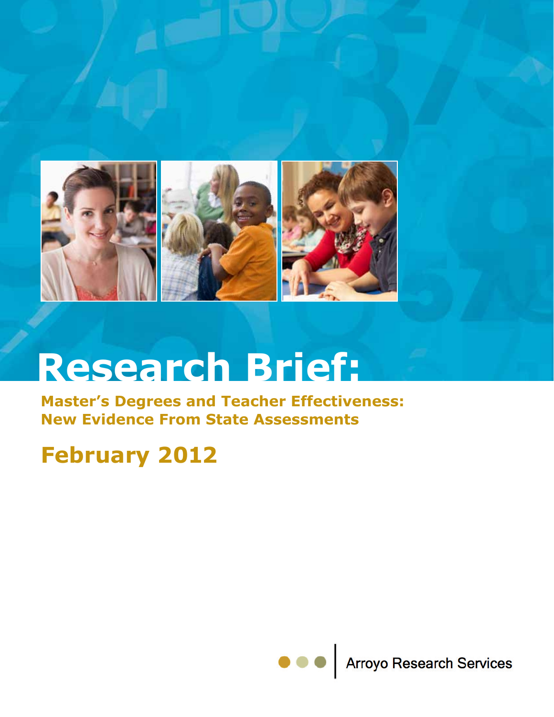

# **Research Brief:**

**Master's Degrees and Teacher Effectiveness: New Evidence From State Assessments** 

### **February 2012**

**Arroyo Research Services**  $\bullet$   $\bullet$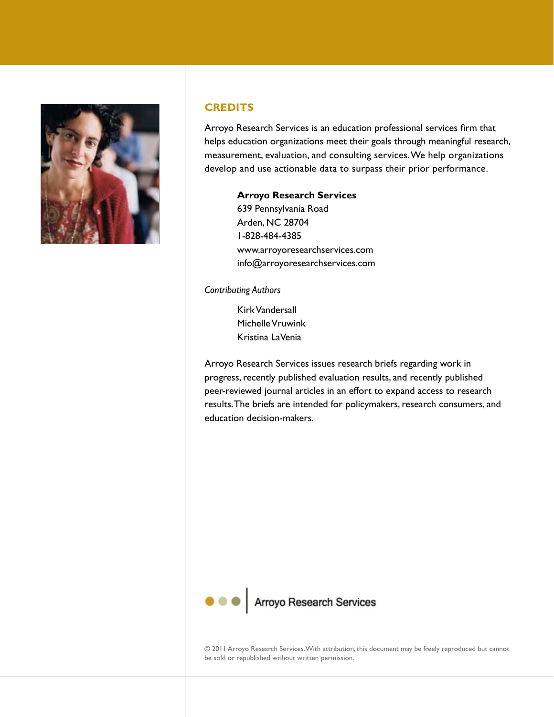

#### **CREDITS**

Arroyo Research Services is an education professional services firm that helps education organizations meet their goals through meaningful research, measurement, evaluation, and consulting services. We help organizations develop and use actionable data to surpass their prior performance.

#### **Arroyo Research Services**

639 Pennsylvania Road Arden, NC 28704 1-828-484-4385 www.arroyoresearchservices.com info@arroyoresearchservices.com

#### *Contributing Authors*

Kirk Vandersall Michelle Vruwink Kristina LaVenia

Arroyo Research Services issues research briefs regarding work in progress, recently published evaluation results, and recently published peer-reviewed journal articles in an effort to expand access to research results. The briefs are intended for policymakers, research consumers, and education decision-makers.



© 2011 Arroyo Research Services. With attribution, this document may be freely reproduced but cannot be sold or republished without written permission.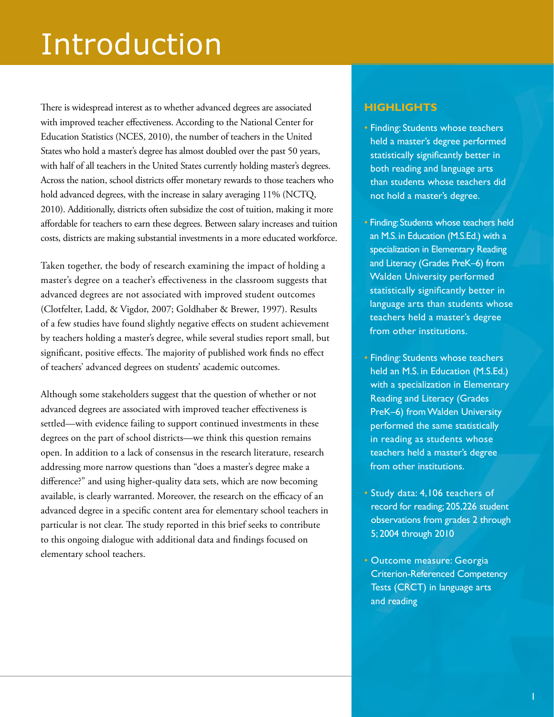## Introduction

There is widespread interest as to whether advanced degrees are associated with improved teacher effectiveness. According to the National Center for Education Statistics (NCES, 2010), the number of teachers in the United States who hold a master's degree has almost doubled over the past 50 years, with half of all teachers in the United States currently holding master's degrees. Across the nation, school districts offer monetary rewards to those teachers who hold advanced degrees, with the increase in salary averaging 11% (NCTQ, 2010). Additionally, districts often subsidize the cost of tuition, making it more affordable for teachers to earn these degrees. Between salary increases and tuition costs, districts are making substantial investments in a more educated workforce.

Taken together, the body of research examining the impact of holding a master's degree on a teacher's effectiveness in the classroom suggests that advanced degrees are not associated with improved student outcomes (Clotfelter, Ladd, & Vigdor, 2007; Goldhaber & Brewer, 1997). Results of a few studies have found slightly negative effects on student achievement by teachers holding a master's degree, while several studies report small, but significant, positive effects. The majority of published work finds no effect of teachers' advanced degrees on students' academic outcomes.

Although some stakeholders suggest that the question of whether or not advanced degrees are associated with improved teacher effectiveness is settled—with evidence failing to support continued investments in these degrees on the part of school districts—we think this question remains open. In addition to a lack of consensus in the research literature, research addressing more narrow questions than "does a master's degree make a difference?" and using higher-quality data sets, which are now becoming available, is clearly warranted. Moreover, the research on the efficacy of an advanced degree in a specific content area for elementary school teachers in particular is not clear. The study reported in this brief seeks to contribute to this ongoing dialogue with additional data and findings focused on elementary school teachers.

#### **Highlights**

- Finding: Students whose teachers held a master's degree performed statistically significantly better in both reading and language arts than students whose teachers did not hold a master's degree.
- Finding: Students whose teachers held an M.S. in Education (M.S.Ed.) with a specialization in Elementary Reading and Literacy (Grades PreK–6) from Walden University performed statistically significantly better in language arts than students whose teachers held a master's degree from other institutions.
- Finding: Students whose teachers held an M.S. in Education (M.S.Ed.) with a specialization in Elementary Reading and Literacy (Grades PreK–6) from Walden University performed the same statistically in reading as students whose teachers held a master's degree from other institutions.
- Study data: 4,106 teachers of record for reading; 205,226 student observations from grades 2 through 5; 2004 through 2010
- Outcome measure: Georgia Criterion-Referenced Competency Tests (CRCT) in language arts and reading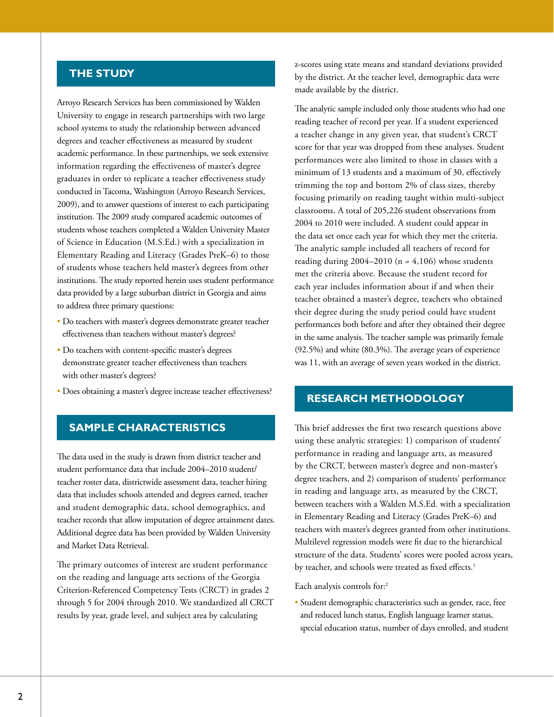#### **THE STUDY**

Arroyo Research Services has been commissioned by Walden University to engage in research partnerships with two large school systems to study the relationship between advanced degrees and teacher effectiveness as measured by student academic performance. In these partnerships, we seek extensive information regarding the effectiveness of master's degree graduates in order to replicate a teacher effectiveness study conducted in Tacoma, Washington (Arroyo Research Services, 2009), and to answer questions of interest to each participating institution. The 2009 study compared academic outcomes of students whose teachers completed a Walden University Master of Science in Education (M.S.Ed.) with a specialization in Elementary Reading and Literacy (Grades PreK–6) to those of students whose teachers held master's degrees from other institutions. The study reported herein uses student performance data provided by a large suburban district in Georgia and aims to address three primary questions:

- Do teachers with master's degrees demonstrate greater teacher effectiveness than teachers without master's degrees?
- Do teachers with content-specific master's degrees demonstrate greater teacher effectiveness than teachers with other master's degrees?
- Does obtaining a master's degree increase teacher effectiveness?

#### **SAMPLE CHARACTERISTICS**

The data used in the study is drawn from district teacher and student performance data that include 2004–2010 student/ teacher roster data, districtwide assessment data, teacher hiring data that includes schools attended and degrees earned, teacher and student demographic data, school demographics, and teacher records that allow imputation of degree attainment dates. Additional degree data has been provided by Walden University and Market Data Retrieval.

The primary outcomes of interest are student performance on the reading and language arts sections of the Georgia Criterion-Referenced Competency Tests (CRCT) in grades 2 through 5 for 2004 through 2010. We standardized all CRCT results by year, grade level, and subject area by calculating

z-scores using state means and standard deviations provided by the district. At the teacher level, demographic data were made available by the district.

The analytic sample included only those students who had one reading teacher of record per year. If a student experienced a teacher change in any given year, that student's CRCT score for that year was dropped from these analyses. Student performances were also limited to those in classes with a minimum of 13 students and a maximum of 30, effectively trimming the top and bottom 2% of class sizes, thereby focusing primarily on reading taught within multi-subject classrooms. A total of 205,226 student observations from 2004 to 2010 were included. A student could appear in the data set once each year for which they met the criteria. The analytic sample included all teachers of record for reading during  $2004-2010$  (n = 4,106) whose students met the criteria above. Because the student record for each year includes information about if and when their teacher obtained a master's degree, teachers who obtained their degree during the study period could have student performances both before and after they obtained their degree in the same analysis. The teacher sample was primarily female (92.5%) and white (80.3%). The average years of experience was 11, with an average of seven years worked in the district.

#### **RESEARCH METHODOLOGY**

This brief addresses the first two research questions above using these analytic strategies: 1) comparison of students' performance in reading and language arts, as measured by the CRCT, between master's degree and non-master's degree teachers, and 2) comparison of students' performance in reading and language arts, as measured by the CRCT, between teachers with a Walden M.S.Ed. with a specialization in Elementary Reading and Literacy (Grades PreK–6) and teachers with master's degrees granted from other institutions. Multilevel regression models were fit due to the hierarchical structure of the data. Students' scores were pooled across years, by teacher, and schools were treated as fixed effects.<sup>1</sup>

Each analysis controls for:2

• Student demographic characteristics such as gender, race, free and reduced lunch status, English language learner status, special education status, number of days enrolled, and student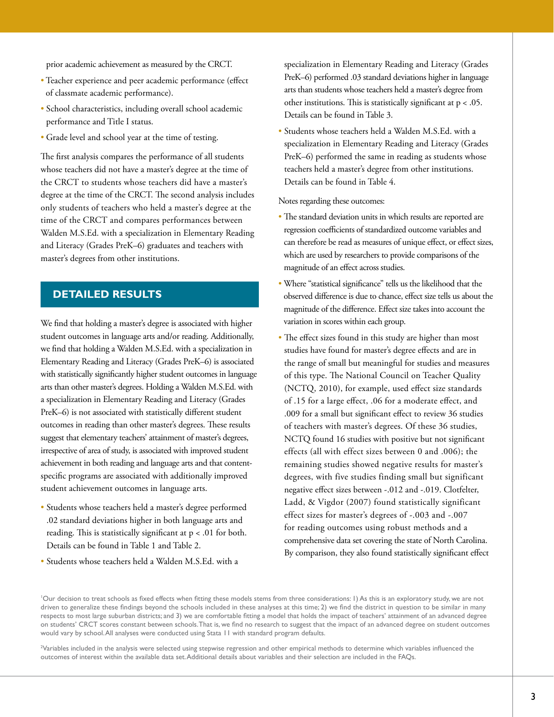prior academic achievement as measured by the CRCT.

- Teacher experience and peer academic performance (effect of classmate academic performance).
- School characteristics, including overall school academic performance and Title I status.
- Grade level and school year at the time of testing.

The first analysis compares the performance of all students whose teachers did not have a master's degree at the time of the CRCT to students whose teachers did have a master's degree at the time of the CRCT. The second analysis includes only students of teachers who held a master's degree at the time of the CRCT and compares performances between Walden M.S.Ed. with a specialization in Elementary Reading and Literacy (Grades PreK–6) graduates and teachers with master's degrees from other institutions.

#### **DETAILED RESULTS**

We find that holding a master's degree is associated with higher student outcomes in language arts and/or reading. Additionally, we find that holding a Walden M.S.Ed. with a specialization in Elementary Reading and Literacy (Grades PreK–6) is associated with statistically significantly higher student outcomes in language arts than other master's degrees. Holding a Walden M.S.Ed. with a specialization in Elementary Reading and Literacy (Grades PreK–6) is not associated with statistically different student outcomes in reading than other master's degrees. These results suggest that elementary teachers' attainment of master's degrees, irrespective of area of study, is associated with improved student achievement in both reading and language arts and that contentspecific programs are associated with additionally improved student achievement outcomes in language arts.

- Students whose teachers held a master's degree performed .02 standard deviations higher in both language arts and reading. This is statistically significant at  $p < .01$  for both. Details can be found in Table 1 and Table 2.
- Students whose teachers held a Walden M.S.Ed. with a

specialization in Elementary Reading and Literacy (Grades PreK–6) performed .03 standard deviations higher in language arts than students whose teachers held a master's degree from other institutions. This is statistically significant at  $p < .05$ . Details can be found in Table 3.

• Students whose teachers held a Walden M.S.Ed. with a specialization in Elementary Reading and Literacy (Grades PreK–6) performed the same in reading as students whose teachers held a master's degree from other institutions. Details can be found in Table 4.

Notes regarding these outcomes:

- The standard deviation units in which results are reported are regression coefficients of standardized outcome variables and can therefore be read as measures of unique effect, or effect sizes, which are used by researchers to provide comparisons of the magnitude of an effect across studies.
- Where "statistical significance" tells us the likelihood that the observed difference is due to chance, effect size tells us about the magnitude of the difference. Effect size takes into account the variation in scores within each group.
- The effect sizes found in this study are higher than most studies have found for master's degree effects and are in the range of small but meaningful for studies and measures of this type. The National Council on Teacher Quality (NCTQ, 2010), for example, used effect size standards of .15 for a large effect, .06 for a moderate effect, and .009 for a small but significant effect to review 36 studies of teachers with master's degrees. Of these 36 studies, NCTQ found 16 studies with positive but not significant effects (all with effect sizes between 0 and .006); the remaining studies showed negative results for master's degrees, with five studies finding small but significant negative effect sizes between -.012 and -.019. Clotfelter, Ladd, & Vigdor (2007) found statistically significant effect sizes for master's degrees of -.003 and -.007 for reading outcomes using robust methods and a comprehensive data set covering the state of North Carolina. By comparison, they also found statistically significant effect

'Our decision to treat schools as fixed effects when fitting these models stems from three considerations: I) As this is an exploratory study, we are not driven to generalize these findings beyond the schools included in these analyses at this time; 2) we find the district in question to be similar in many respects to most large suburban districts; and 3) we are comfortable fitting a model that holds the impact of teachers' attainment of an advanced degree on students' CRCT scores constant between schools. That is, we find no research to suggest that the impact of an advanced degree on student outcomes would vary by school. All analyses were conducted using Stata 11 with standard program defaults.

2 Variables included in the analysis were selected using stepwise regression and other empirical methods to determine which variables influenced the outcomes of interest within the available data set. Additional details about variables and their selection are included in the FAQs.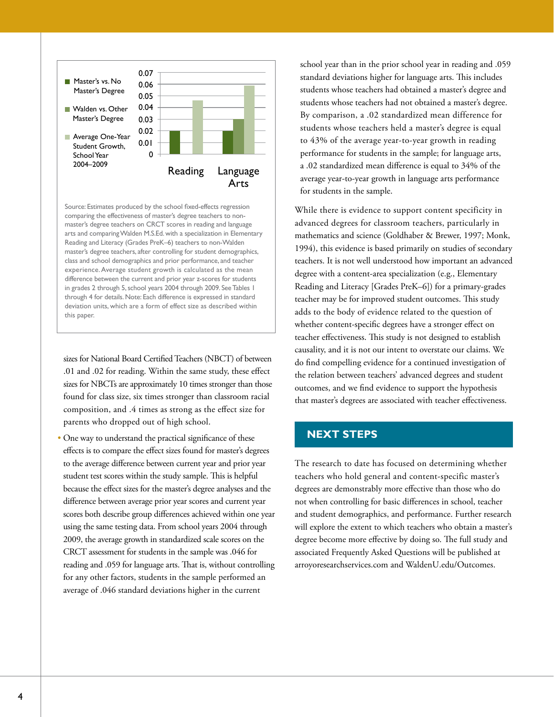

Source: Estimates produced by the school fixed-effects regression comparing the effectiveness of master's degree teachers to nonmaster's degree teachers on CRCT scores in reading and language arts and comparing Walden M.S.Ed. with a specialization in Elementary Reading and Literacy (Grades PreK–6) teachers to non-Walden master's degree teachers, after controlling for student demographics, class and school demographics and prior performance, and teacher experience. Average student growth is calculated as the mean difference between the current and prior year z-scores for students in grades 2 through 5, school years 2004 through 2009. See Tables 1 through 4 for details. Note: Each difference is expressed in standard deviation units, which are a form of effect size as described within this paper.

sizes for National Board Certified Teachers (NBCT) of between .01 and .02 for reading. Within the same study, these effect sizes for NBCTs are approximately 10 times stronger than those found for class size, six times stronger than classroom racial composition, and .4 times as strong as the effect size for parents who dropped out of high school.

• One way to understand the practical significance of these effects is to compare the effect sizes found for master's degrees to the average difference between current year and prior year student test scores within the study sample. This is helpful because the effect sizes for the master's degree analyses and the difference between average prior year scores and current year scores both describe group differences achieved within one year using the same testing data. From school years 2004 through 2009, the average growth in standardized scale scores on the CRCT assessment for students in the sample was .046 for reading and .059 for language arts. That is, without controlling for any other factors, students in the sample performed an average of .046 standard deviations higher in the current

school year than in the prior school year in reading and .059 standard deviations higher for language arts. This includes students whose teachers had obtained a master's degree and students whose teachers had not obtained a master's degree. By comparison, a .02 standardized mean difference for students whose teachers held a master's degree is equal to 43% of the average year-to-year growth in reading performance for students in the sample; for language arts, a .02 standardized mean difference is equal to 34% of the average year-to-year growth in language arts performance for students in the sample.

While there is evidence to support content specificity in advanced degrees for classroom teachers, particularly in mathematics and science (Goldhaber & Brewer, 1997; Monk, 1994), this evidence is based primarily on studies of secondary teachers. It is not well understood how important an advanced degree with a content-area specialization (e.g., Elementary Reading and Literacy [Grades PreK–6]) for a primary-grades teacher may be for improved student outcomes. This study adds to the body of evidence related to the question of whether content-specific degrees have a stronger effect on teacher effectiveness. This study is not designed to establish causality, and it is not our intent to overstate our claims. We do find compelling evidence for a continued investigation of the relation between teachers' advanced degrees and student outcomes, and we find evidence to support the hypothesis that master's degrees are associated with teacher effectiveness.

#### **NEXT STEPS**

The research to date has focused on determining whether teachers who hold general and content-specific master's degrees are demonstrably more effective than those who do not when controlling for basic differences in school, teacher and student demographics, and performance. Further research will explore the extent to which teachers who obtain a master's degree become more effective by doing so. The full study and associated Frequently Asked Questions will be published at [arroyoresearchservices.com](http://arroyoresearchservices.com/) and [WaldenU.edu/Outcomes](WaldenU.edu/outcomes).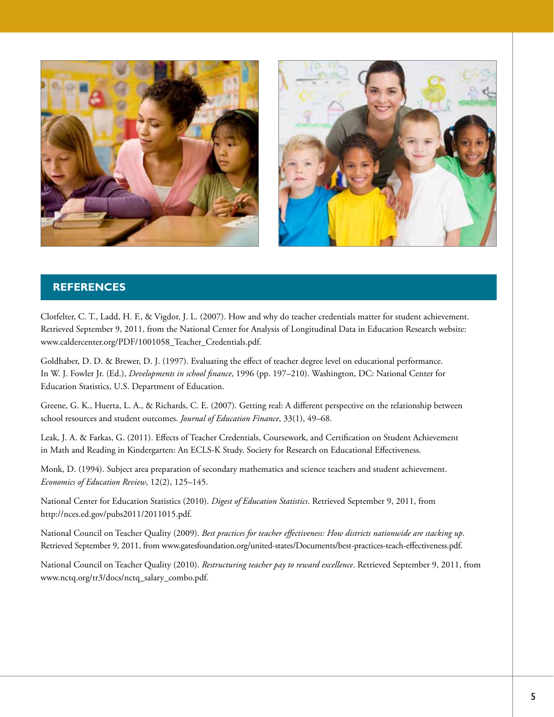



#### **REFERENCES**

Clotfelter, C. T., Ladd, H. F., & Vigdor, J. L. (2007). How and why do teacher credentials matter for student achievement. Retrieved September 9, 2011, from the National Center for Analysis of Longitudinal Data in Education Research website: www.caldercenter.org/PDF/1001058\_Teacher\_Credentials.pdf.

Goldhaber, D. D. & Brewer, D. J. (1997). Evaluating the effect of teacher degree level on educational performance. In W. J. Fowler Jr. (Ed.), *Developments in school finance*, 1996 (pp. 197–210). Washington, DC: National Center for Education Statistics, U.S. Department of Education.

Greene, G. K., Huerta, L. A., & Richards, C. E. (2007). Getting real: A different perspective on the relationship between school resources and student outcomes. *Journal of Education Finance*, 33(1), 49–68.

Leak, J. A. & Farkas, G. (2011). Effects of Teacher Credentials, Coursework, and Certification on Student Achievement in Math and Reading in Kindergarten: An ECLS-K Study. Society for Research on Educational Effectiveness.

Monk, D. (1994). Subject area preparation of secondary mathematics and science teachers and student achievement. *Economics of Education Review*, 12(2), 125–145.

National Center for Education Statistics (2010). *Digest of Education Statistics*. Retrieved September 9, 2011, from [http://nces.ed.gov/pubs2011/2011015.pdf.](http://nces.ed.gov/pubs2011/2011015.pdf)

National Council on Teacher Quality (2009). *Best practices for teacher effectiveness: How districts nationwide are stacking up*. Retrieved September 9, 2011, from www.gatesfoundation.org/united-states/Documents/best-practices-teach-effectiveness.pdf.

National Council on Teacher Quality (2010). *Restructuring teacher pay to reward excellence*. Retrieved September 9, 2011, from www.nctq.org/tr3/docs/nctq\_salary\_combo.pdf.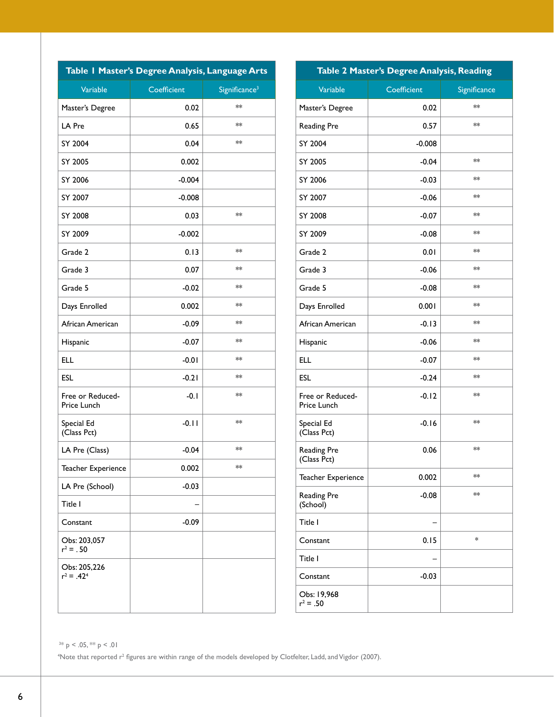| Table   Master's Degree Analysis, Language Arts |             |                           |  |  |
|-------------------------------------------------|-------------|---------------------------|--|--|
| Variable                                        | Coefficient | Significance <sup>3</sup> |  |  |
| Master's Degree                                 | 0.02        | $**$                      |  |  |
| LA Pre                                          | 0.65        | $**$                      |  |  |
| SY 2004                                         | 0.04        | $**$                      |  |  |
| SY 2005                                         | 0.002       |                           |  |  |
| SY 2006                                         | $-0.004$    |                           |  |  |
| SY 2007                                         | $-0.008$    |                           |  |  |
| SY 2008                                         | 0.03        | $**$                      |  |  |
| SY 2009                                         | $-0.002$    |                           |  |  |
| Grade 2                                         | 0.13        | **                        |  |  |
| Grade 3                                         | 0.07        | $**$                      |  |  |
| Grade 5                                         | $-0.02$     | **                        |  |  |
| Days Enrolled                                   | 0.002       | **                        |  |  |
| African American                                | $-0.09$     | **                        |  |  |
| Hispanic                                        | $-0.07$     | $**$                      |  |  |
| <b>ELL</b>                                      | $-0.01$     | $**$                      |  |  |
| <b>ESL</b>                                      | $-0.21$     | **                        |  |  |
| Free or Reduced-<br>Price Lunch                 | $-0.1$      | **                        |  |  |
| Special Ed<br>(Class Pct)                       | $-0.11$     | **                        |  |  |
| LA Pre (Class)                                  | $-0.04$     | **                        |  |  |
| Teacher Experience                              | 0.002       | **                        |  |  |
| LA Pre (School)                                 | $-0.03$     |                           |  |  |
| Title I                                         |             |                           |  |  |
| Constant                                        | $-0.09$     |                           |  |  |
| Obs: 203,057<br>$r^2 = .50$                     |             |                           |  |  |
| Obs: 205,226<br>$r^2 = .42^4$                   |             |                           |  |  |

| Table 2 Master's Degree Analysis, Reading |             |              |  |
|-------------------------------------------|-------------|--------------|--|
| Variable                                  | Coefficient | Significance |  |
| Master's Degree                           | 0.02        | $**$         |  |
| <b>Reading Pre</b>                        | 0.57        | $**$         |  |
| SY 2004                                   | $-0.008$    |              |  |
| SY 2005                                   | $-0.04$     | **           |  |
| SY 2006                                   | $-0.03$     | $**$         |  |
| SY 2007                                   | $-0.06$     | $**$         |  |
| SY 2008                                   | $-0.07$     | $**$         |  |
| SY 2009                                   | $-0.08$     | **           |  |
| Grade 2                                   | 0.01        | **           |  |
| Grade 3                                   | $-0.06$     | $**$         |  |
| Grade 5                                   | $-0.08$     | **           |  |
| Days Enrolled                             | 0.001       | $**$         |  |
| African American                          | $-0.13$     | $**$         |  |
| Hispanic                                  | $-0.06$     | $**$         |  |
| <b>ELL</b>                                | $-0.07$     | **           |  |
| <b>ESL</b>                                | $-0.24$     | $**$         |  |
| Free or Reduced-<br>Price Lunch           | $-0.12$     | $**$         |  |
| Special Ed<br>(Class Pct)                 | $-0.16$     | $**$         |  |
| <b>Reading Pre</b><br>(Class Pct)         | 0.06        | $**$         |  |
| Teacher Experience                        | 0.002       | **           |  |
| <b>Reading Pre</b><br>(School)            | $-0.08$     | **           |  |
| Title I                                   |             |              |  |
| Constant                                  | 0.15        | *            |  |
| Title I                                   |             |              |  |
| Constant                                  | $-0.03$     |              |  |
| Obs: 19,968<br>$r^2 = .50$                |             |              |  |

 $3*$  p < .05,  $*$  p < .01

<sup>4</sup>Note that reported r<sup>2</sup> figures are within range of the models developed by Clotfelter, Ladd, and Vigdor (2007).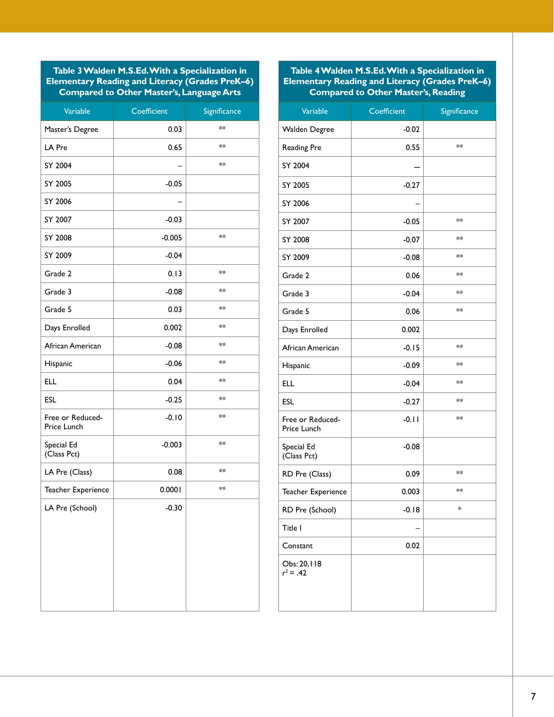**Table 3 Walden M.S.Ed. With a Specialization in Elementary Reading and Literacy (Grades PreK–6) Compared to Other Master's, Language Arts**

| Variable                        | Coefficient | Significance |
|---------------------------------|-------------|--------------|
| Master's Degree                 | 0.03        | $**$         |
| LA Pre                          | 0.65        | **           |
| SY 2004                         |             | **           |
| SY 2005                         | $-0.05$     |              |
| SY 2006                         |             |              |
| SY 2007                         | $-0.03$     |              |
| SY 2008                         | $-0.005$    | **           |
| SY 2009                         | $-0.04$     |              |
| Grade 2                         | 0.13        | **           |
| Grade 3                         | $-0.08$     | **           |
| Grade 5                         | 0.03        | $**$         |
| Days Enrolled                   | 0.002       | **           |
| African American                | $-0.08$     | **           |
| Hispanic                        | $-0.06$     | **           |
| <b>ELL</b>                      | 0.04        | $**$         |
| <b>ESL</b>                      | $-0.25$     | $**$         |
| Free or Reduced-<br>Price Lunch | $-0.10$     | **           |
| Special Ed<br>(Class Pct)       | $-0.003$    | **           |
| LA Pre (Class)                  | 0.08        | $**$         |
| Teacher Experience              | 0.0001      | **           |
| LA Pre (School)                 | $-0.30$     |              |

#### **Table 4 Walden M.S.Ed. With a Specialization in Elementary Reading and Literacy (Grades PreK–6) Compared to Other Master's, Reading**

| Variable                               | Coefficient | Significance |
|----------------------------------------|-------------|--------------|
| <b>Walden Degree</b>                   | $-0.02$     |              |
| <b>Reading Pre</b>                     | 0.55        | $**$         |
| SY 2004                                |             |              |
| SY 2005                                | $-0.27$     |              |
| SY 2006                                |             |              |
| SY 2007                                | $-0.05$     | **           |
| SY 2008                                | $-0.07$     | **           |
| SY 2009                                | $-0.08$     | $**$         |
| Grade 2                                | 0.06        | $**$         |
| Grade 3                                | $-0.04$     | **           |
| Grade 5                                | 0.06        | **           |
| Days Enrolled                          | 0.002       |              |
| African American                       | $-0.15$     | **           |
| Hispanic                               | $-0.09$     | **           |
| <b>ELL</b>                             | $-0.04$     | **           |
| <b>ESL</b>                             | $-0.27$     | **           |
| Free or Reduced-<br><b>Price Lunch</b> | $-0.11$     | **           |
| Special Ed<br>(Class Pct)              | $-0.08$     |              |
| RD Pre (Class)                         | 0.09        | **           |
| Teacher Experience                     | 0.003       | **           |
| RD Pre (School)                        | $-0.18$     | *            |
| Title I                                |             |              |
| Constant                               | 0.02        |              |
| Obs: 20, I 18<br>$r^2 = .42$           |             |              |